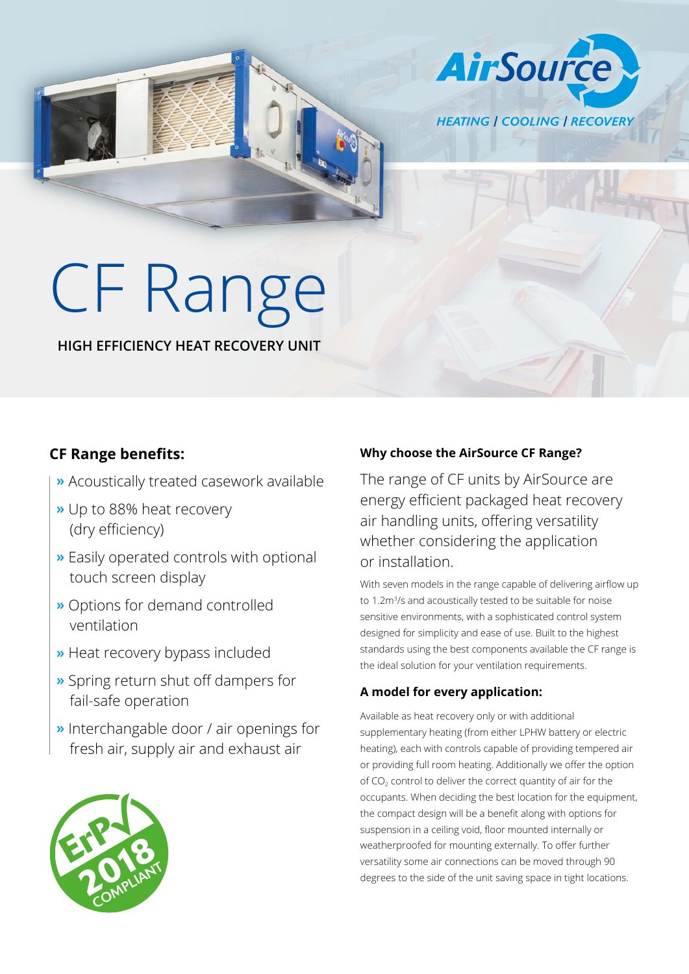**HEATING | COOLING | RECOVERY** 

**AirSource** 

# CF Range

## **HIGH EFFICIENCY HEAT RECOVERY UNIT**

# **CF Range benefits:**

- **»** Acoustically treated casework available
- **»** Up to 88% heat recovery (dry efficiency)
- **»** Easily operated controls with optional touch screen display
- **»** Options for demand controlled ventilation
- **»** Heat recovery bypass included
- **»** Spring return shut off dampers for fail-safe operation
- **»** Interchangable door / air openings for fresh air, supply air and exhaust air



# **Why choose the AirSource CF Range?**

The range of CF units by AirSource are energy efficient packaged heat recovery air handling units, offering versatility whether considering the application or installation.

With seven models in the range capable of delivering airflow up to 1.2m<sup>3</sup>/s and acoustically tested to be suitable for noise sensitive environments, with a sophisticated control system designed for simplicity and ease of use. Built to the highest standards using the best components available the CF range is the ideal solution for your ventilation requirements.

## **A model for every application:**

Available as heat recovery only or with additional supplementary heating (from either LPHW battery or electric heating), each with controls capable of providing tempered air or providing full room heating. Additionally we offer the option of  $CO<sub>2</sub>$  control to deliver the correct quantity of air for the occupants. When deciding the best location for the equipment, the compact design will be a benefit along with options for suspension in a ceiling void, floor mounted internally or weatherproofed for mounting externally. To offer further versatility some air connections can be moved through 90 degrees to the side of the unit saving space in tight locations.